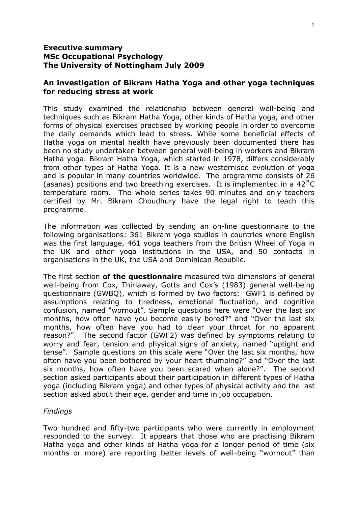## **Executive summary MSc Occupational Psychology The University of Nottingham July 2009**

## **An investigation of Bikram Hatha Yoga and other yoga techniques for reducing stress at work**

This study examined the relationship between general well-being and techniques such as Bikram Hatha Yoga, other kinds of Hatha yoga, and other forms of physical exercises practised by working people in order to overcome the daily demands which lead to stress. While some beneficial effects of Hatha yoga on mental health have previously been documented there has been no study undertaken between general well-being in workers and Bikram Hatha yoga. Bikram Hatha Yoga, which started in 1978, differs considerably from other types of Hatha Yoga. It is a new westernised evolution of yoga and is popular in many countries worldwide. The programme consists of 26 (asanas) positions and two breathing exercises. It is implemented in a 42˚C temperature room. The whole series takes 90 minutes and only teachers certified by Mr. Bikram Choudhury have the legal right to teach this programme.

The information was collected by sending an on-line questionnaire to the following organisations: 361 Bikram yoga studios in countries where English was the first language, 461 yoga teachers from the British Wheel of Yoga in the UK and other yoga institutions in the USA, and 50 contacts in organisations in the UK, the USA and Dominican Republic.

The first section **of the questionnaire** measured two dimensions of general well-being from Cox, Thirlaway, Gotts and Cox's (1983) general well-being questionnaire (GWBQ), which is formed by two factors: GWF1 is defined by assumptions relating to tiredness, emotional fluctuation, and cognitive confusion, named "wornout". Sample questions here were "Over the last six months, how often have you become easily bored?" and "Over the last six months, how often have you had to clear your throat for no apparent reason?". The second factor (GWF2) was defined by symptoms relating to worry and fear, tension and physical signs of anxiety, named "uptight and tense". Sample questions on this scale were "Over the last six months, how often have you been bothered by your heart thumping?" and "Over the last six months, how often have you been scared when alone?". The second section asked participants about their participation in different types of Hatha yoga (including Bikram yoga) and other types of physical activity and the last section asked about their age, gender and time in job occupation.

## *Findings*

Two hundred and fifty-two participants who were currently in employment responded to the survey*.* It appears that those who are practising Bikram Hatha yoga and other kinds of Hatha yoga for a longer period of time (six months or more) are reporting better levels of well-being "wornout" than